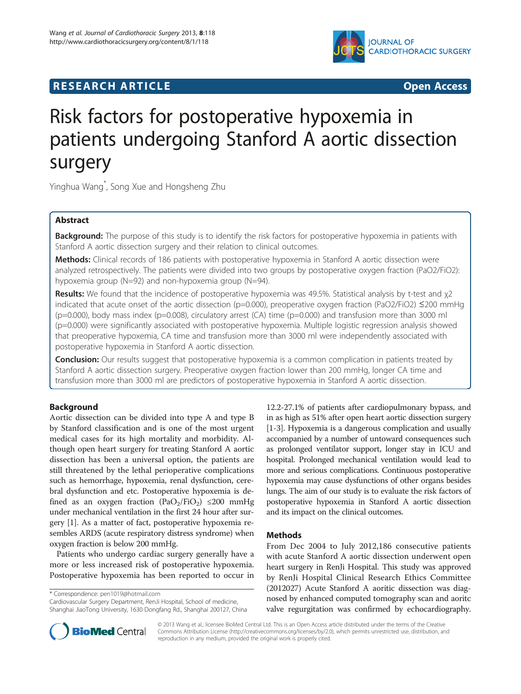

# **RESEARCH ARTICLE Example 2014 12:30 THE Open Access**

# Risk factors for postoperative hypoxemia in patients undergoing Stanford A aortic dissection surgery

Yinghua Wang\* , Song Xue and Hongsheng Zhu

# Abstract

Background: The purpose of this study is to identify the risk factors for postoperative hypoxemia in patients with Stanford A aortic dissection surgery and their relation to clinical outcomes.

Methods: Clinical records of 186 patients with postoperative hypoxemia in Stanford A aortic dissection were analyzed retrospectively. The patients were divided into two groups by postoperative oxygen fraction (PaO2/FiO2): hypoxemia group (N=92) and non-hypoxemia group (N=94).

Results: We found that the incidence of postoperative hypoxemia was 49.5%. Statistical analysis by t-test and χ2 indicated that acute onset of the aortic dissection (p=0.000), preoperative oxygen fraction (PaO2/FiO2) ≤200 mmHg  $(p=0.000)$ , body mass index (p=0.008), circulatory arrest (CA) time (p=0.000) and transfusion more than 3000 ml (p=0.000) were significantly associated with postoperative hypoxemia. Multiple logistic regression analysis showed that preoperative hypoxemia, CA time and transfusion more than 3000 ml were independently associated with postoperative hypoxemia in Stanford A aortic dissection.

**Conclusion:** Our results suggest that postoperative hypoxemia is a common complication in patients treated by Stanford A aortic dissection surgery. Preoperative oxygen fraction lower than 200 mmHg, longer CA time and transfusion more than 3000 ml are predictors of postoperative hypoxemia in Stanford A aortic dissection.

# Background

Aortic dissection can be divided into type A and type B by Stanford classification and is one of the most urgent medical cases for its high mortality and morbidity. Although open heart surgery for treating Stanford A aortic dissection has been a universal option, the patients are still threatened by the lethal perioperative complications such as hemorrhage, hypoxemia, renal dysfunction, cerebral dysfunction and etc. Postoperative hypoxemia is defined as an oxygen fraction (PaO<sub>2</sub>/FiO<sub>2</sub>)  $\leq$ 200 mmHg under mechanical ventilation in the first 24 hour after surgery [[1\]](#page-5-0). As a matter of fact, postoperative hypoxemia resembles ARDS (acute respiratory distress syndrome) when oxygen fraction is below 200 mmHg.

Patients who undergo cardiac surgery generally have a more or less increased risk of postoperative hypoxemia. Postoperative hypoxemia has been reported to occur in

\* Correspondence: [pen1019@hotmail.com](mailto:pen1019@hotmail.com)

Cardiovascular Surgery Department, RenJi Hospital, School of medicine, Shanghai JiaoTong University, 1630 Dongfang Rd., Shanghai 200127, China

12.2-27.1% of patients after cardiopulmonary bypass, and in as high as 51% after open heart aortic dissection surgery [[1-3\]](#page-5-0). Hypoxemia is a dangerous complication and usually accompanied by a number of untoward consequences such as prolonged ventilator support, longer stay in ICU and hospital. Prolonged mechanical ventilation would lead to more and serious complications. Continuous postoperative hypoxemia may cause dysfunctions of other organs besides lungs. The aim of our study is to evaluate the risk factors of postoperative hypoxemia in Stanford A aortic dissection and its impact on the clinical outcomes.

# Methods

From Dec 2004 to July 2012,186 consecutive patients with acute Stanford A aortic dissection underwent open heart surgery in RenJi Hospital. This study was approved by RenJi Hospital Clinical Research Ethics Committee (2012027) Acute Stanford A aoritic dissection was diagnosed by enhanced computed tomography scan and aoritc valve regurgitation was confirmed by echocardiography.



© 2013 Wang et al.; licensee BioMed Central Ltd. This is an Open Access article distributed under the terms of the Creative Commons Attribution License [\(http://creativecommons.org/licenses/by/2.0\)](http://creativecommons.org/licenses/by/2.0), which permits unrestricted use, distribution, and reproduction in any medium, provided the original work is properly cited.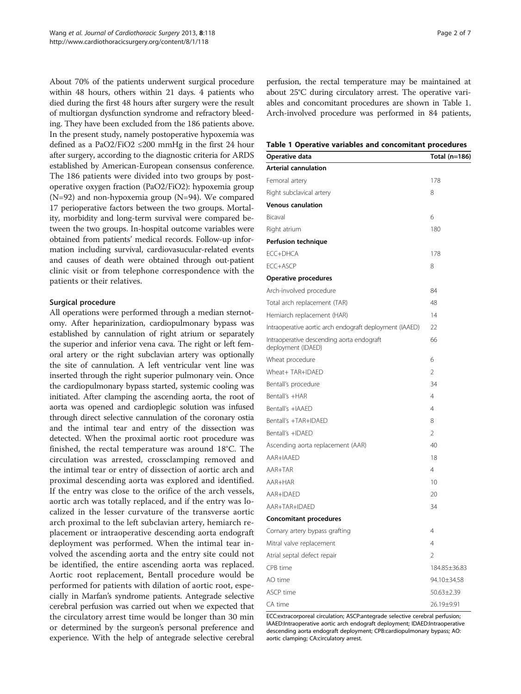About 70% of the patients underwent surgical procedure within 48 hours, others within 21 days. 4 patients who died during the first 48 hours after surgery were the result of multiorgan dysfunction syndrome and refractory bleeding. They have been excluded from the 186 patients above. In the present study, namely postoperative hypoxemia was defined as a PaO2/FiO2 ≤200 mmHg in the first 24 hour after surgery, according to the diagnostic criteria for ARDS established by American-European consensus conference. The 186 patients were divided into two groups by postoperative oxygen fraction (PaO2/FiO2): hypoxemia group (N=92) and non-hypoxemia group (N=94). We compared 17 perioperative factors between the two groups. Mortality, morbidity and long-term survival were compared between the two groups. In-hospital outcome variables were obtained from patients' medical records. Follow-up information including survival, cardiovasucular-related events and causes of death were obtained through out-patient clinic visit or from telephone correspondence with the patients or their relatives.

#### Surgical procedure

All operations were performed through a median sternotomy. After heparinization, cardiopulmonary bypass was established by cannulation of right atrium or separately the superior and inferior vena cava. The right or left femoral artery or the right subclavian artery was optionally the site of cannulation. A left ventricular vent line was inserted through the right superior pulmonary vein. Once the cardiopulmonary bypass started, systemic cooling was initiated. After clamping the ascending aorta, the root of aorta was opened and cardioplegic solution was infused through direct selective cannulation of the coronary ostia and the intimal tear and entry of the dissection was detected. When the proximal aortic root procedure was finished, the rectal temperature was around 18°C. The circulation was arrested, crossclamping removed and the intimal tear or entry of dissection of aortic arch and proximal descending aorta was explored and identified. If the entry was close to the orifice of the arch vessels, aortic arch was totally replaced, and if the entry was localized in the lesser curvature of the transverse aortic arch proximal to the left subclavian artery, hemiarch replacement or intraoperative descending aorta endograft deployment was performed. When the intimal tear involved the ascending aorta and the entry site could not be identified, the entire ascending aorta was replaced. Aortic root replacement, Bentall procedure would be performed for patients with dilation of aortic root, especially in Marfan's syndrome patients. Antegrade selective cerebral perfusion was carried out when we expected that the circulatory arrest time would be longer than 30 min or determined by the surgeon's personal preference and experience. With the help of antegrade selective cerebral

perfusion, the rectal temperature may be maintained at about 25°C during circulatory arrest. The operative variables and concomitant procedures are shown in Table 1. Arch-involved procedure was performed in 84 patients,

Table 1 Operative variables and concomitant procedures

| Operative data                                                  | Total (n=186)    |
|-----------------------------------------------------------------|------------------|
| <b>Arterial cannulation</b>                                     |                  |
| Femoral artery                                                  | 178              |
| Right subclavical artery                                        | 8                |
| <b>Venous canulation</b>                                        |                  |
| Bicaval                                                         | 6                |
| Right atrium                                                    | 180              |
| Perfusion technique                                             |                  |
| FCC+DHCA                                                        | 178              |
| ECC+ASCP                                                        | 8                |
| Operative procedures                                            |                  |
| Arch-involved procedure                                         | 84               |
| Total arch replacement (TAR)                                    | 48               |
| Hemiarch replacement (HAR)                                      | 14               |
| Intraoperative aortic arch endograft deployment (IAAED)         | 22               |
| Intraoperative descending aorta endograft<br>deployment (IDAED) | 66               |
| Wheat procedure                                                 | 6                |
| Wheat+ TAR+IDAFD                                                | $\overline{2}$   |
| Bentall's procedure                                             | 34               |
| Bentall's +HAR                                                  | 4                |
| Bentall's +IAAED                                                | 4                |
| Bentall's +TAR+IDAED                                            | 8                |
| Bentall's +IDAED                                                | $\overline{2}$   |
| Ascending aorta replacement (AAR)                               | 40               |
| AAR+IAAED                                                       | 18               |
| AAR+TAR                                                         | $\overline{4}$   |
| AAR+HAR                                                         | 10               |
| AAR+IDAFD                                                       | 20               |
| AAR+TAR+IDAED                                                   | 34               |
| <b>Concomitant procedures</b>                                   |                  |
| Cornary artery bypass grafting                                  | 4                |
| Mitral valve replacement                                        | $\overline{4}$   |
| Atrial septal defect repair                                     | $\overline{2}$   |
| CPB time                                                        | 184.85±36.83     |
| AO time                                                         | 94.10±34.58      |
| ASCP time                                                       | $50.63 \pm 2.39$ |
| CA time                                                         | 26.19±9.91       |

ECC:extracorporeal circulation; ASCP:antegrade selective cerebral perfusion; IAAED:Intraoperative aortic arch endograft deployment; IDAED:Intraoperative descending aorta endograft deployment; CPB:cardiopulmonary bypass; AO: aortic clamping; CA:circulatory arrest.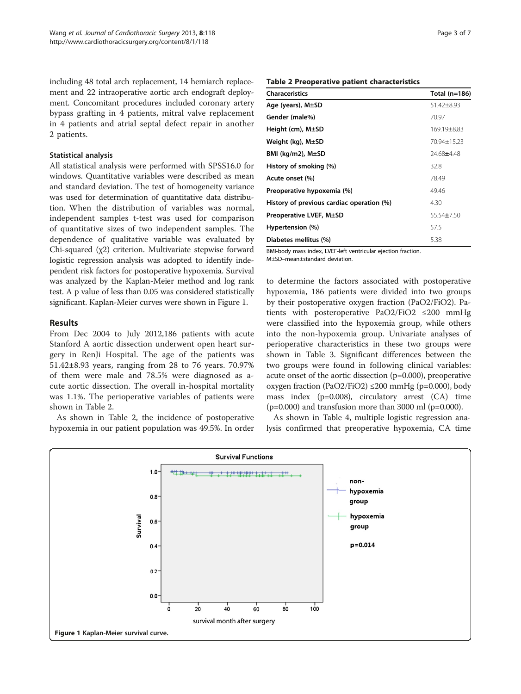<span id="page-2-0"></span>including 48 total arch replacement, 14 hemiarch replacement and 22 intraoperative aortic arch endograft deployment. Concomitant procedures included coronary artery bypass grafting in 4 patients, mitral valve replacement in 4 patients and atrial septal defect repair in another 2 patients.

#### Statistical analysis

All statistical analysis were performed with SPSS16.0 for windows. Quantitative variables were described as mean and standard deviation. The test of homogeneity variance was used for determination of quantitative data distribution. When the distribution of variables was normal, independent samples t-test was used for comparison of quantitative sizes of two independent samples. The dependence of qualitative variable was evaluated by Chi-squared (χ2) criterion. Multivariate stepwise forward logistic regression analysis was adopted to identify independent risk factors for postoperative hypoxemia. Survival was analyzed by the Kaplan-Meier method and log rank test. A p value of less than 0.05 was considered statistically significant. Kaplan-Meier curves were shown in Figure 1.

### Results

From Dec 2004 to July 2012,186 patients with acute Stanford A aortic dissection underwent open heart surgery in RenJi Hospital. The age of the patients was 51.42±8.93 years, ranging from 28 to 76 years. 70.97% of them were male and 78.5% were diagnosed as acute aortic dissection. The overall in-hospital mortality was 1.1%. The perioperative variables of patients were shown in Table 2.

As shown in Table 2, the incidence of postoperative hypoxemia in our patient population was 49.5%. In order

## Table 2 Preoperative patient characteristics

| <b>Characeristics</b>                     | Total $(n=186)$  |
|-------------------------------------------|------------------|
| Age (years), M±SD                         | 51.42±8.93       |
| Gender (male%)                            | 70.97            |
| Height (cm), $M\pm SD$                    | 169.19±8.83      |
| Weight (kg), M±SD                         | 70.94±15.23      |
| BMI ( $kq/m2$ ), $M\pm SD$                | 24.68±4.48       |
| History of smoking (%)                    | 32.8             |
| Acute onset (%)                           | 78.49            |
| Preoperative hypoxemia (%)                | 49.46            |
| History of previous cardiac operation (%) | 4.30             |
| Preoperative LVEF, M±SD                   | $55.54 \pm 7.50$ |
| Hypertension (%)                          | 57.5             |
| Diabetes mellitus (%)                     | 5.38             |

BMI-body mass index, LVEF-left ventricular ejection fraction. M±SD–mean±standard deviation.

to determine the factors associated with postoperative hypoxemia, 186 patients were divided into two groups by their postoperative oxygen fraction (PaO2/FiO2). Patients with posteroperative PaO2/FiO2 ≤200 mmHg were classified into the hypoxemia group, while others into the non-hypoxemia group. Univariate analyses of perioperative characteristics in these two groups were shown in Table [3.](#page-3-0) Significant differences between the two groups were found in following clinical variables: acute onset of the aortic dissection (p=0.000), preoperative oxygen fraction (PaO2/FiO2)  $\leq$ 200 mmHg (p=0.000), body mass index (p=0.008), circulatory arrest (CA) time  $(p=0.000)$  and transfusion more than 3000 ml  $(p=0.000)$ .

As shown in Table [4,](#page-3-0) multiple logistic regression analysis confirmed that preoperative hypoxemia, CA time

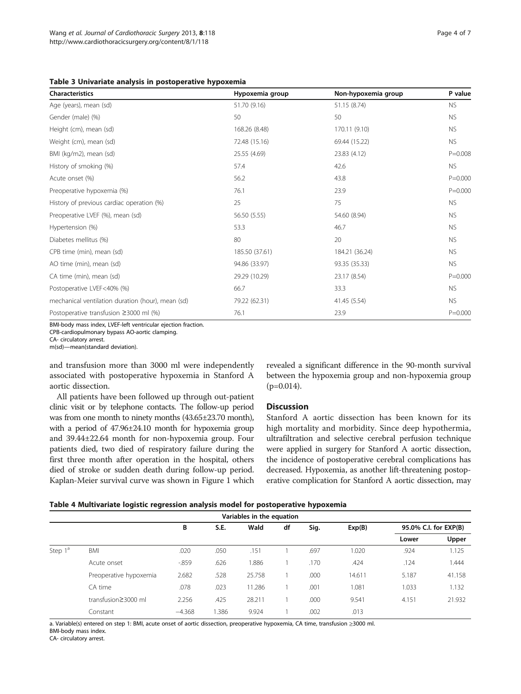<span id="page-3-0"></span>

| <b>Characteristics</b>                            | Hypoxemia group | Non-hypoxemia group | P value     |
|---------------------------------------------------|-----------------|---------------------|-------------|
| Age (years), mean (sd)                            | 51.70 (9.16)    | 51.15 (8.74)        | NS.         |
| Gender (male) (%)                                 | 50              | 50                  | NS.         |
| Height (cm), mean (sd)                            | 168.26 (8.48)   | 170.11 (9.10)       | NS.         |
| Weight (cm), mean (sd)                            | 72.48 (15.16)   | 69.44 (15.22)       | NS.         |
| BMI (kg/m2), mean (sd)                            | 25.55 (4.69)    | 23.83 (4.12)        | $P = 0.008$ |
| History of smoking (%)                            | 57.4            | 42.6                | <b>NS</b>   |
| Acute onset (%)                                   | 56.2            | 43.8                | $P = 0.000$ |
| Preoperative hypoxemia (%)                        | 76.1            | 23.9                | $P = 0.000$ |
| History of previous cardiac operation (%)         | 25              | 75                  | NS.         |
| Preoperative LVEF (%), mean (sd)                  | 56.50 (5.55)    | 54.60 (8.94)        | <b>NS</b>   |
| Hypertension (%)                                  | 53.3            | 46.7                | <b>NS</b>   |
| Diabetes mellitus (%)                             | 80              | 20                  | NS.         |
| CPB time (min), mean (sd)                         | 185.50 (37.61)  | 184.21 (36.24)      | NS.         |
| AO time (min), mean (sd)                          | 94.86 (33.97)   | 93.35 (35.33)       | <b>NS</b>   |
| CA time (min), mean (sd)                          | 29.29 (10.29)   | 23.17 (8.54)        | $P = 0.000$ |
| Postoperative LVEF<40% (%)                        | 66.7            | 33.3                | <b>NS</b>   |
| mechanical ventilation duration (hour), mean (sd) | 79.22 (62.31)   | 41.45 (5.54)        | NS.         |
| Postoperative transfusion $\geq$ 3000 ml (%)      | 76.1            | 23.9                | $P = 0.000$ |

BMI-body mass index, LVEF-left ventricular ejection fraction.

CPB-cardiopulmonary bypass AO-aortic clamping.

CA- circulatory arrest.

m(sd)—mean(standard deviation).

and transfusion more than 3000 ml were independently associated with postoperative hypoxemia in Stanford A aortic dissection.

All patients have been followed up through out-patient clinic visit or by telephone contacts. The follow-up period was from one month to ninety months (43.65±23.70 month), with a period of 47.96±24.10 month for hypoxemia group and 39.44±22.64 month for non-hypoxemia group. Four patients died, two died of respiratory failure during the first three month after operation in the hospital, others died of stroke or sudden death during follow-up period. Kaplan-Meier survival curve was shown in Figure [1](#page-2-0) which revealed a significant difference in the 90-month survival between the hypoxemia group and non-hypoxemia group  $(p=0.014)$ .

### **Discussion**

Stanford A aortic dissection has been known for its high mortality and morbidity. Since deep hypothermia, ultrafiltration and selective cerebral perfusion technique were applied in surgery for Stanford A aortic dissection, the incidence of postoperative cerebral complications has decreased. Hypoxemia, as another lift-threatening postoperative complication for Stanford A aortic dissection, may

| Table 4 Multivariate logistic regression analysis model for postoperative hypoxemia |  |  |
|-------------------------------------------------------------------------------------|--|--|
|-------------------------------------------------------------------------------------|--|--|

| Variables in the equation |                        |          |      |        |      |      |        |        |                       |  |
|---------------------------|------------------------|----------|------|--------|------|------|--------|--------|-----------------------|--|
|                           |                        | В        |      | S.E.   | Wald | df   | Sig.   | Exp(B) | 95.0% C.I. for EXP(B) |  |
|                           |                        |          |      |        |      |      |        | Lower  | Upper                 |  |
| Step 1 <sup>ª</sup>       | <b>BMI</b>             | .020     | .050 | .151   |      | .697 | 1.020  | .924   | 1.125                 |  |
|                           | Acute onset            | $-859$   | .626 | 1.886  |      | .170 | .424   | .124   | 1.444                 |  |
|                           | Preoperative hypoxemia | 2.682    | .528 | 25.758 |      | .000 | 14.611 | 5.187  | 41.158                |  |
|                           | CA time                | .078     | .023 | 11.286 |      | .001 | 1.081  | 1.033  | 1.132                 |  |
|                           | transfusion≥3000 ml    | 2.256    | .425 | 28.211 |      | .000 | 9.541  | 4.151  | 21.932                |  |
|                           | Constant               | $-4.368$ | .386 | 9.924  |      | .002 | .013   |        |                       |  |

a. Variable(s) entered on step 1: BMI, acute onset of aortic dissection, preoperative hypoxemia, CA time, transfusion ≥3000 ml. BMI-body mass index.

CA- circulatory arrest.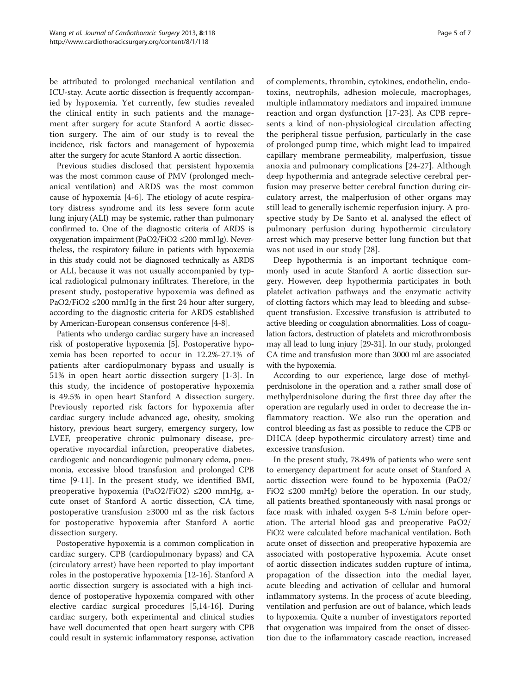be attributed to prolonged mechanical ventilation and ICU-stay. Acute aortic dissection is frequently accompanied by hypoxemia. Yet currently, few studies revealed the clinical entity in such patients and the management after surgery for acute Stanford A aortic dissection surgery. The aim of our study is to reveal the incidence, risk factors and management of hypoxemia after the surgery for acute Stanford A aortic dissection.

Previous studies disclosed that persistent hypoxemia was the most common cause of PMV (prolonged mechanical ventilation) and ARDS was the most common cause of hypoxemia [\[4](#page-5-0)-[6\]](#page-5-0). The etiology of acute respiratory distress syndrome and its less severe form acute lung injury (ALI) may be systemic, rather than pulmonary confirmed to. One of the diagnostic criteria of ARDS is oxygenation impairment (PaO2/FiO2 ≤200 mmHg). Nevertheless, the respiratory failure in patients with hypoxemia in this study could not be diagnosed technically as ARDS or ALI, because it was not usually accompanied by typical radiological pulmonary infiltrates. Therefore, in the present study, postoperative hypoxemia was defined as PaO2/FiO2  $\leq$ 200 mmHg in the first 24 hour after surgery, according to the diagnostic criteria for ARDS established by American-European consensus conference [[4-8\]](#page-5-0).

Patients who undergo cardiac surgery have an increased risk of postoperative hypoxemia [\[5](#page-5-0)]. Postoperative hypoxemia has been reported to occur in 12.2%-27.1% of patients after cardiopulmonary bypass and usually is 51% in open heart aortic dissection surgery [[1-3](#page-5-0)]. In this study, the incidence of postoperative hypoxemia is 49.5% in open heart Stanford A dissection surgery. Previously reported risk factors for hypoxemia after cardiac surgery include advanced age, obesity, smoking history, previous heart surgery, emergency surgery, low LVEF, preoperative chronic pulmonary disease, preoperative myocardial infarction, preoperative diabetes, cardiogenic and noncardiogenic pulmonary edema, pneumonia, excessive blood transfusion and prolonged CPB time [[9-11](#page-5-0)]. In the present study, we identified BMI, preoperative hypoxemia (PaO2/FiO2) ≤200 mmHg, acute onset of Stanford A aortic dissection, CA time, postoperative transfusion ≥3000 ml as the risk factors for postoperative hypoxemia after Stanford A aortic dissection surgery.

Postoperative hypoxemia is a common complication in cardiac surgery. CPB (cardiopulmonary bypass) and CA (circulatory arrest) have been reported to play important roles in the postoperative hypoxemia [\[12](#page-5-0)-[16](#page-5-0)]. Stanford A aortic dissection surgery is associated with a high incidence of postoperative hypoxemia compared with other elective cardiac surgical procedures [\[5,14-16](#page-5-0)]. During cardiac surgery, both experimental and clinical studies have well documented that open heart surgery with CPB could result in systemic inflammatory response, activation

of complements, thrombin, cytokines, endothelin, endotoxins, neutrophils, adhesion molecule, macrophages, multiple inflammatory mediators and impaired immune reaction and organ dysfunction [[17-](#page-5-0)[23\]](#page-6-0). As CPB represents a kind of non-physiological circulation affecting the peripheral tissue perfusion, particularly in the case of prolonged pump time, which might lead to impaired capillary membrane permeability, malperfusion, tissue anoxia and pulmonary complications [[24-27\]](#page-6-0). Although deep hypothermia and antegrade selective cerebral perfusion may preserve better cerebral function during circulatory arrest, the malperfusion of other organs may still lead to generally ischemic reperfusion injury. A prospective study by De Santo et al. analysed the effect of pulmonary perfusion during hypothermic circulatory arrest which may preserve better lung function but that was not used in our study [[28\]](#page-6-0).

Deep hypothermia is an important technique commonly used in acute Stanford A aortic dissection surgery. However, deep hypothermia participates in both platelet activation pathways and the enzymatic activity of clotting factors which may lead to bleeding and subsequent transfusion. Excessive transfusion is attributed to active bleeding or coagulation abnormalities. Loss of coagulation factors, destruction of platelets and microthrombosis may all lead to lung injury [[29](#page-6-0)-[31\]](#page-6-0). In our study, prolonged CA time and transfusion more than 3000 ml are associated with the hypoxemia.

According to our experience, large dose of methylperdnisolone in the operation and a rather small dose of methylperdnisolone during the first three day after the operation are regularly used in order to decrease the inflammatory reaction. We also run the operation and control bleeding as fast as possible to reduce the CPB or DHCA (deep hypothermic circulatory arrest) time and excessive transfusion.

In the present study, 78.49% of patients who were sent to emergency department for acute onset of Stanford A aortic dissection were found to be hypoxemia (PaO2/ FiO2 ≤200 mmHg) before the operation. In our study, all patients breathed spontaneously with nasal prongs or face mask with inhaled oxygen 5-8 L/min before operation. The arterial blood gas and preoperative PaO2/ FiO2 were calculated before machanical ventilation. Both acute onset of dissection and preoperative hypoxemia are associated with postoperative hypoxemia. Acute onset of aortic dissection indicates sudden rupture of intima, propagation of the dissection into the medial layer, acute bleeding and activation of cellular and humoral inflammatory systems. In the process of acute bleeding, ventilation and perfusion are out of balance, which leads to hypoxemia. Quite a number of investigators reported that oxygenation was impaired from the onset of dissection due to the inflammatory cascade reaction, increased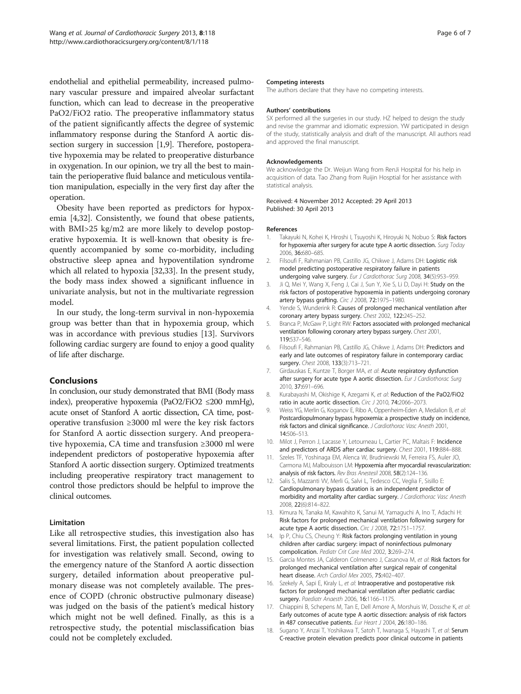<span id="page-5-0"></span>endothelial and epithelial permeability, increased pulmonary vascular pressure and impaired alveolar surfactant function, which can lead to decrease in the preoperative PaO2/FiO2 ratio. The preoperative inflammatory status of the patient significantly affects the degree of systemic inflammatory response during the Stanford A aortic dissection surgery in succession [1,9]. Therefore, postoperative hypoxemia may be related to preoperative disturbance in oxygenation. In our opinion, we try all the best to maintain the perioperative fluid balance and meticulous ventilation manipulation, especially in the very first day after the operation.

Obesity have been reported as predictors for hypoxemia [4[,32](#page-6-0)]. Consistently, we found that obese patients, with BMI>25 kg/m2 are more likely to develop postoperative hypoxemia. It is well-known that obesity is frequently accompanied by some co-morbidity, including obstructive sleep apnea and hypoventilation syndrome which all related to hypoxia [\[32,33\]](#page-6-0). In the present study, the body mass index showed a significant influence in univariate analysis, but not in the multivariate regression model.

In our study, the long-term survival in non-hypoxemia group was better than that in hypoxemia group, which was in accordance with previous studies [13]. Survivors following cardiac surgery are found to enjoy a good quality of life after discharge.

### Conclusions

In conclusion, our study demonstrated that BMI (Body mass index), preoperative hypoxemia (PaO2/FiO2 ≤200 mmHg), acute onset of Stanford A aortic dissection, CA time, postoperative transfusion ≥3000 ml were the key risk factors for Stanford A aortic dissection surgery. And preoperative hypoxemia, CA time and transfusion ≥3000 ml were independent predictors of postoperative hypoxemia after Stanford A aortic dissection surgery. Optimized treatments including preoperative respiratory tract management to control those predictors should be helpful to improve the clinical outcomes.

#### Limitation

Like all retrospective studies, this investigation also has several limitations. First, the patient population collected for investigation was relatively small. Second, owing to the emergency nature of the Stanford A aortic dissection surgery, detailed information about preoperative pulmonary disease was not completely available. The presence of COPD (chronic obstructive pulmonary disease) was judged on the basis of the patient's medical history which might not be well defined. Finally, as this is a retrospective study, the potential misclassification bias could not be completely excluded.

#### Competing interests

The authors declare that they have no competing interests.

#### Authors' contributions

SX performed all the surgeries in our study. HZ helped to design the study and revise the grammar and idiomatic expression. YW participated in design of the study, statistically analysis and draft of the manuscript. All authors read and approved the final manuscript.

#### Acknowledgements

We acknowledge the Dr. Weijun Wang from RenJi Hospital for his help in acquisition of data. Tao Zhang from Ruijin Hosptial for her assistance with statistical analysis.

Received: 4 November 2012 Accepted: 29 April 2013 Published: 30 April 2013

#### References

- 1. Takayuki N, Kohei K, Hiroshi I, Tsuyoshi K, Hiroyuki N, Nobuo S: Risk factors for hypoxemia after surgery for acute type A aortic dissection. Surg Today 2006, 36:680–685.
- 2. Filsoufi F, Rahmanian PB, Castillo JG, Chikwe J, Adams DH: Logistic risk model predicting postoperative respiratory failure in patients undergoing valve surgery. Eur J Cardiothorac Surg 2008, 34(5):953-959.
- 3. Ji Q, Mei Y, Wang X, Feng J, Cai J, Sun Y, Xie S, Li D, Dayi H: Study on the risk factors of postoperative hypoxemia in patients undergoing coronary artery bypass grafting. Circ J 2008, 72:1975–1980.
- 4. Yende S, Wunderink R: Causes of prolonged mechanical ventilation after coronary artery bypass surgery. Chest 2002, 122:245–252.
- 5. Branca P, McGaw P, Light RW: Factors associated with prolonged mechanical ventilation following coronary artery bypass surgery. Chest 2001, 119:537–546.
- Filsoufi F, Rahmanian PB, Castillo JG, Chikwe J, Adams DH: Predictors and early and late outcomes of respiratory failure in contemporary cardiac surgery. Chest 2008, 133(3):713–721.
- 7. Girdauskas E, Kuntze T, Borger MA, et al: Acute respiratory dysfunction after surgery for acute type A aortic dissection. Eur J Cardiothorac Surg 2010, 37:691–696.
- 8. Kurabayashi M, Okishige K, Azegami K, et al: Reduction of the PaO2/FiO2 ratio in acute aortic dissection. Circ J 2010, 74:2066–2073.
- 9. Weiss YG, Merlin G, Koganov E, Ribo A, Oppenheim-Eden A, Medalion B, et al: Postcardiopulmonary bypass hypoxemia: a prospective study on incidence, risk factors and clinical significance. J Cardiothorac Vasc Anesth 2001, 14:506–513.
- 10. Milot J, Perron J, Lacasse Y, Letourneau L, Cartier PC, Maltais F: Incidence and predictors of ARDS after cardiac surgery. Chest 2001, 119:884–888.
- 11. Szeles TF, Yoshinaga EM, Alenca W, Brudniewski M, Ferreira FS, Auler JO, Carmona MJ, Malbouisson LM: Hypoxemia after myocardial revascularization: analysis of risk factors. Rev Bras Anestesil 2008, 58(2):124–136.
- 12. Salis S, Mazzanti VV, Merli G, Salvi L, Tedesco CC, Veglia F, Sisillo E: Cardiopulmonary bypass duration is an independent predictor of morbidity and mortality after cardiac surgery. J Cardiothorac Vasc Anesth 2008, 22(6):814–822.
- 13. Kimura N, Tanaka M, Kawahito K, Sanui M, Yamaguchi A, Ino T, Adachi H: Risk factors for prolonged mechanical ventilation following surgery for acute type A aortic dissection. Circ J 2008, 72:1751–1757.
- 14. Ip P, Chiu CS, Cheung Y: Risk factors prolonging ventilation in young children after cardiac surgery: impact of noninfectious pulmonary compolication. Pediatr Crit Care Med 2002, 3:269–274.
- 15. Garcia Montes JA, Calderon Colmenero J, Casanova M, et al: Risk factors for prolonged mechanical ventilation after surgical repair of congenital heart disease. Arch Cardiol Mex 2005, 75:402–407.
- 16. Szekely A, Sapi E, Kiraly L, et al: Intraoperative and postoperative risk factors for prolonged mechanical ventilation after pediatric cardiac surgery. Paediatr Anaesth 2006, 16:1166–1175.
- 17. Chiappini B, Schepens M, Tan E, Dell Amore A, Morshuis W, Dossche K, et al: Early outcomes of acute type A aortic dissection: analysis of risk factors in 487 consecutive patients. Eur Heart J 2004, 26:180-186.
- 18. Sugano Y, Anzai T, Yoshikawa T, Satoh T, Iwanaga S, Hayashi T, et al: Serum C-reactive protein elevation predicts poor clinical outcome in patients